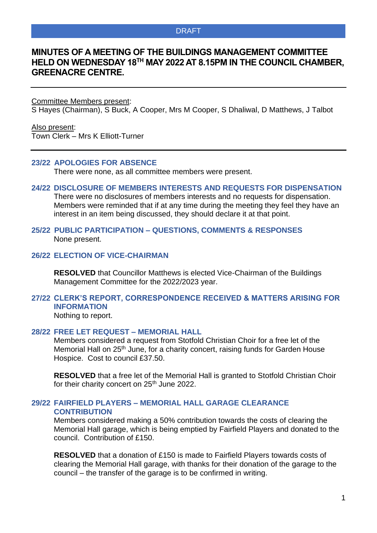#### DRAFT

# **MINUTES OF A MEETING OF THE BUILDINGS MANAGEMENT COMMITTEE HELD ON WEDNESDAY 18 TH MAY 2022 AT 8.15PM IN THE COUNCIL CHAMBER, GREENACRE CENTRE.**

Committee Members present:

S Hayes (Chairman), S Buck, A Cooper, Mrs M Cooper, S Dhaliwal, D Matthews, J Talbot

Also present: Town Clerk – Mrs K Elliott-Turner

#### **23/22 APOLOGIES FOR ABSENCE**

There were none, as all committee members were present.

**24/22 DISCLOSURE OF MEMBERS INTERESTS AND REQUESTS FOR DISPENSATION** There were no disclosures of members interests and no requests for dispensation. Members were reminded that if at any time during the meeting they feel they have an interest in an item being discussed, they should declare it at that point.

#### **25/22 PUBLIC PARTICIPATION – QUESTIONS, COMMENTS & RESPONSES** None present.

# **26/22 ELECTION OF VICE-CHAIRMAN**

**RESOLVED** that Councillor Matthews is elected Vice-Chairman of the Buildings Management Committee for the 2022/2023 year.

# **27/22 CLERK'S REPORT, CORRESPONDENCE RECEIVED & MATTERS ARISING FOR INFORMATION**

Nothing to report.

#### **28/22 FREE LET REQUEST – MEMORIAL HALL**

Members considered a request from Stotfold Christian Choir for a free let of the Memorial Hall on 25<sup>th</sup> June, for a charity concert, raising funds for Garden House Hospice. Cost to council £37.50.

**RESOLVED** that a free let of the Memorial Hall is granted to Stotfold Christian Choir for their charity concert on 25<sup>th</sup> June 2022.

## **29/22 FAIRFIELD PLAYERS – MEMORIAL HALL GARAGE CLEARANCE CONTRIBUTION**

Members considered making a 50% contribution towards the costs of clearing the Memorial Hall garage, which is being emptied by Fairfield Players and donated to the council. Contribution of £150.

**RESOLVED** that a donation of £150 is made to Fairfield Players towards costs of clearing the Memorial Hall garage, with thanks for their donation of the garage to the council – the transfer of the garage is to be confirmed in writing.